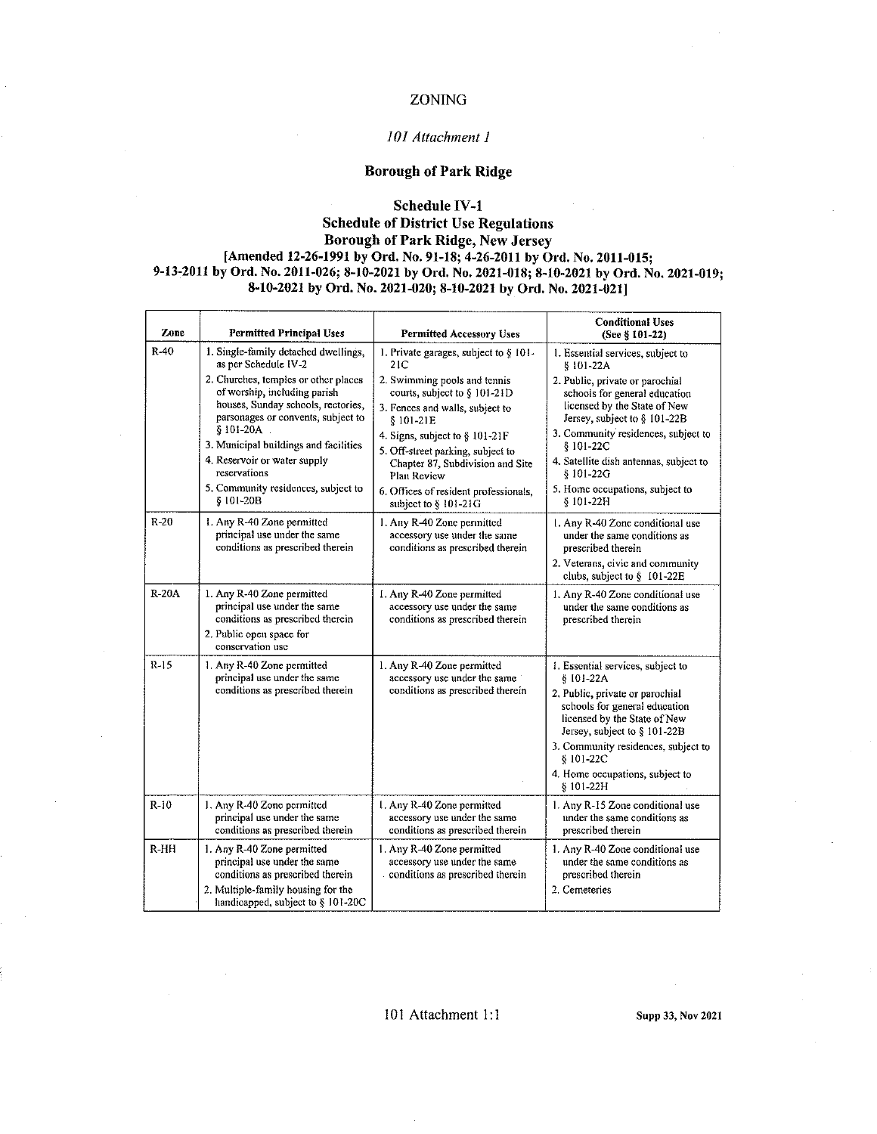### ZONING

#### *JO I Attachment I*

#### Borough of Park Ridge

#### Schedule IV-1

#### Schedule of District Use Regulations Borough of Park Ridge, New Jersey [Amended 12-26-1991 by Ord. No. 91-18; 4-26-2011 by Ord. No. 2011-015; 9-13-2011 by Ord. No. 2011-026; 8-10-2021 by Ord. No. 2021-018; 8-10-2021 by Ord. No. 2021-019; 8-10-2021 by Ord. No. 2021-020; 8-10-2021 by Ord. No. 2021-021]

| Zone    | <b>Permitted Principal Uses</b>                                                                                                                                                                                                                                                                             | <b>Permitted Accessory Uses</b>                                                                                                                                                                                                                                                                          | <b>Conditional Uses</b><br>(See § 101-22)                                                                                                                                                                                                                                                   |
|---------|-------------------------------------------------------------------------------------------------------------------------------------------------------------------------------------------------------------------------------------------------------------------------------------------------------------|----------------------------------------------------------------------------------------------------------------------------------------------------------------------------------------------------------------------------------------------------------------------------------------------------------|---------------------------------------------------------------------------------------------------------------------------------------------------------------------------------------------------------------------------------------------------------------------------------------------|
| R-40    | 1. Single-family detached dwellings,<br>as per Schedule IV-2                                                                                                                                                                                                                                                | 1. Private garages, subject to § 101-<br>21C                                                                                                                                                                                                                                                             | 1. Essential services, subject to<br>§ 101-22A                                                                                                                                                                                                                                              |
|         | 2. Churches, temples or other places<br>of worship, including parish<br>houses, Sunday schools, rectories,<br>parsonages or convents, subject to<br>$$101-20A$<br>3. Municipal buildings and facilities<br>4. Reservoir or water supply<br>reservations<br>5. Community residences, subject to<br>§ 101-20B | 2. Swimming pools and tennis<br>courts, subject to § 101-21D<br>3. Fences and walls, subject to<br>$$101-21E$<br>4. Signs, subject to § 101-21F<br>5. Off-street parking, subject to<br>Chapter 87, Subdivision and Site<br>Plan Review<br>6. Offices of resident professionals,<br>subject to § 101-21G | 2. Public, private or parochial<br>schools for general education<br>licensed by the State of New<br>Jersey, subject to § 101-22B<br>3. Community residences, subject to<br>§ 101-22C<br>4. Satellite dish antennas, subject to<br>§ 101-22G<br>5. Home occupations, subject to<br>§ 101-22H |
| $R-20$  | 1. Any R-40 Zone permitted<br>principal use under the same<br>conditions as prescribed therein                                                                                                                                                                                                              | 1. Any R-40 Zone permitted<br>accessory use under the same<br>conditions as prescribed therein                                                                                                                                                                                                           | 1. Any R-40 Zone conditional use<br>under the same conditions as<br>prescribed therein<br>2. Veterans, civic and community<br>clubs, subject to § 101-22E                                                                                                                                   |
| $R-20A$ | 1. Any R-40 Zone permitted<br>principal use under the same<br>conditions as prescribed therein<br>2. Public open space for<br>conservation use                                                                                                                                                              | 1. Any R-40 Zone permitted<br>accessory use under the same<br>conditions as prescribed therein                                                                                                                                                                                                           | 1. Any R-40 Zone conditional use<br>under the same conditions as<br>prescribed therein                                                                                                                                                                                                      |
| $R-15$  | 1. Any R-40 Zone permitted<br>principal use under the same<br>conditions as prescribed therein                                                                                                                                                                                                              | 1. Any R-40 Zone permitted<br>accessory use under the same<br>conditions as prescribed therein                                                                                                                                                                                                           | 1. Essential services, subject to<br>$$101-22A$<br>2. Public, private or parochial<br>schools for general education<br>licensed by the State of New<br>Jersey, subject to § 101-22B<br>3. Community residences, subject to<br>§ 101-22C<br>4. Home occupations, subject to<br>$§101-22H$    |
| $R-10$  | 1. Any R-40 Zone permitted<br>principal use under the same<br>conditions as prescribed therein                                                                                                                                                                                                              | I. Any R-40 Zone permitted<br>accessory use under the same<br>conditions as prescribed therein                                                                                                                                                                                                           | 1. Any R-15 Zone conditional use<br>under the same conditions as<br>prescribed therein                                                                                                                                                                                                      |
| $R-HH$  | 1. Any R-40 Zone permitted<br>principal use under the same<br>conditions as prescribed therein<br>2. Multiple-family housing for the<br>handicapped, subject to § 101-20C                                                                                                                                   | 1. Any R-40 Zone permitted<br>accessory use under the same<br>conditions as prescribed therein                                                                                                                                                                                                           | 1. Any R-40 Zone conditional use<br>under the same conditions as<br>prescribed therein<br>2. Cemeteries                                                                                                                                                                                     |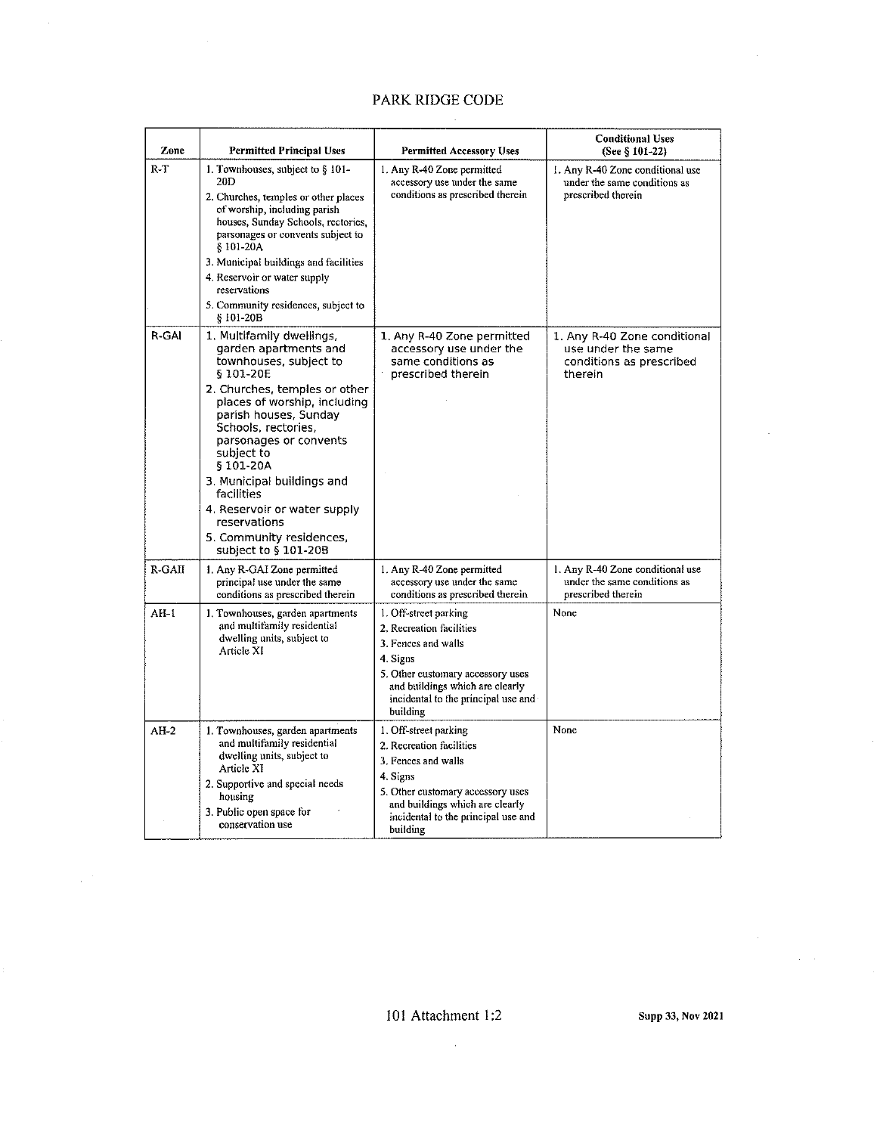## PARK RIDGE CODE

 $\bar{\mathcal{A}}$ 

| Zone   | <b>Permitted Principal Uses</b>                                                                                                                                                                                                                                                                                                                                                                               | <b>Permitted Accessory Uses</b>                                                                                                                                                                                 | <b>Conditional Uses</b><br>(See § 101-22)                                                 |
|--------|---------------------------------------------------------------------------------------------------------------------------------------------------------------------------------------------------------------------------------------------------------------------------------------------------------------------------------------------------------------------------------------------------------------|-----------------------------------------------------------------------------------------------------------------------------------------------------------------------------------------------------------------|-------------------------------------------------------------------------------------------|
| $R-T$  | 1. Townhouses, subject to $§$ 101-<br>20D<br>2. Churches, temples or other places<br>of worship, including parish<br>houses, Sunday Schools, rectories,<br>parsonages or convents subject to<br>§101-20A<br>3. Municipal buildings and facilities<br>4. Reservoir or water supply<br>reservations<br>5. Community residences, subject to<br>$$101-20B$                                                        | 1. Any R-40 Zone permitted<br>accessory use under the same<br>conditions as prescribed therein                                                                                                                  | 1. Any R-40 Zone conditional use<br>under the same conditions as<br>prescribed therein    |
| R-GAI  | 1. Multifamily dwellings<br>garden apartments and<br>townhouses, subject to<br>§ 101-20E<br>2. Churches, temples or other<br>places of worship, including<br>parish houses, Sunday<br>Schools, rectories,<br>parsonages or convents<br>subject to<br>§101-20A<br>3. Municipal buildings and<br>facilities<br>4. Reservoir or water supply<br>reservations<br>5. Community residences,<br>subject to § 101-20B | 1. Any R-40 Zone permitted<br>accessory use under the<br>same conditions as<br>prescribed therein                                                                                                               | 1. Any R-40 Zone conditional<br>use under the same<br>conditions as prescribed<br>therein |
| R-GAII | 1. Any R-GAI Zone permitted<br>principal use under the same<br>conditions as prescribed therein                                                                                                                                                                                                                                                                                                               | 1. Any R-40 Zone permitted<br>accessory use under the same<br>conditions as prescribed therein                                                                                                                  | 1. Any R-40 Zone conditional use<br>under the same conditions as<br>prescribed therein    |
| $AH-1$ | 1. Townhouses, garden apartments<br>and multifamily residential<br>dwelling units, subject to<br>Article XI                                                                                                                                                                                                                                                                                                   | 1. Off-street parking<br>2. Recreation facilities<br>3. Fences and walls<br>4 Signs<br>5. Other customary accessory uses<br>and buildings which are clearly<br>incidental to the principal use and<br>building  | None                                                                                      |
| $AH-2$ | 1. Townhouses, garden apartments<br>and multifamily residential<br>dwelling units, subject to<br>Article XI<br>2. Supportive and special needs<br>housing<br>3. Public open space for<br>conservation use                                                                                                                                                                                                     | 1. Off-street parking<br>2. Recreation facilities<br>3. Fences and walls<br>4. Signs<br>5. Other customary accessory uses<br>and buildings which are clearly<br>incidental to the principal use and<br>building | None                                                                                      |

 $\sim$   $\sim$ 

 $\frac{1}{2}$  ,  $\frac{1}{2}$ 

 $\hat{\mathcal{A}}$  and  $\hat{\mathcal{A}}$ 

 $\bar{\beta}$ 

 $\overline{\phantom{a}}$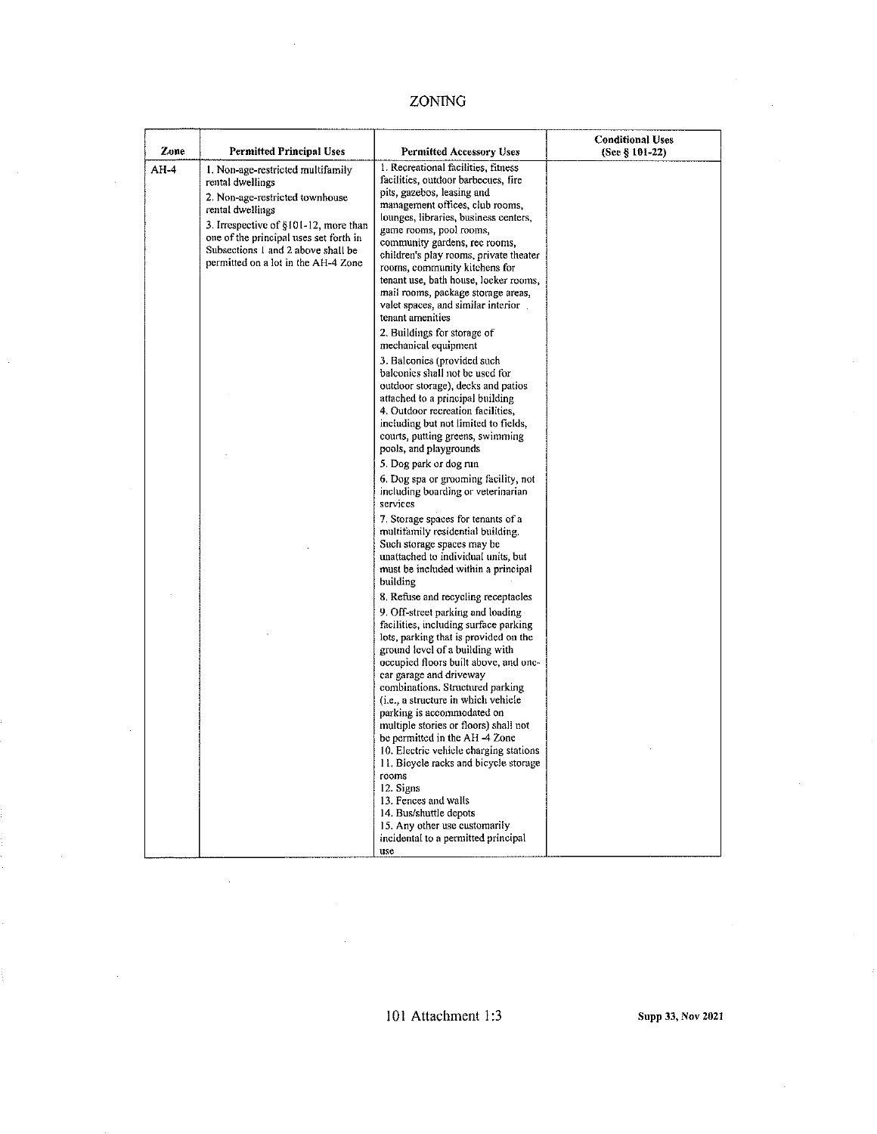### **ZONING**

| Zone   | Permitted Principal Uses                                                                                                                                                                                                                                                     | <b>Permitted Accessory Uses</b>                                                                                                                                                                                                                                                                                                                                                                                                                                                                                                                                                                                                                                                                 | <b>Conditional Uses</b><br>(See § 101-22) |
|--------|------------------------------------------------------------------------------------------------------------------------------------------------------------------------------------------------------------------------------------------------------------------------------|-------------------------------------------------------------------------------------------------------------------------------------------------------------------------------------------------------------------------------------------------------------------------------------------------------------------------------------------------------------------------------------------------------------------------------------------------------------------------------------------------------------------------------------------------------------------------------------------------------------------------------------------------------------------------------------------------|-------------------------------------------|
| $AH-4$ | I. Non-age-restricted multifamily<br>rental dwellings<br>2. Non-age-restricted townhouse<br>rental dwellings<br>3. Irrespective of §101-12, more than<br>one of the principal uses set forth in<br>Subsections 1 and 2 above shall be<br>permitted on a lot in the AH-4 Zone | 1. Recreational facilities, fitness<br>facilities, outdoor barbecues, fire<br>pits, gazebos, leasing and<br>management offices, club rooms,<br>lounges, libraries, business centers,<br>game rooms, pool rooms,<br>community gardens, rec rooms,<br>children's play rooms, private theater<br>rooms, community kitchens for<br>tenant use, bath house, locker rooms,<br>mail rooms, package storage areas,<br>valet spaces, and similar interior<br>tenant amenities                                                                                                                                                                                                                            |                                           |
|        |                                                                                                                                                                                                                                                                              | 2. Buildings for storage of<br>mechanical equipment<br>3. Balconies (provided such<br>balconics shall not be used for<br>outdoor storage), decks and patios<br>attached to a principal building<br>4. Outdoor recreation facilities,<br>including but not limited to fields,<br>courts, putting greens, swimming<br>pools, and playgrounds                                                                                                                                                                                                                                                                                                                                                      |                                           |
|        |                                                                                                                                                                                                                                                                              | 5. Dog park or dog run<br>6. Dog spa or grooming facility, not<br>including boarding or veterinarian<br>services<br>7. Storage spaces for tenants of a<br>multifamily residential building.<br>Such storage spaces may be<br>unattached to individual units, but<br>must be included within a principal<br>building                                                                                                                                                                                                                                                                                                                                                                             |                                           |
|        |                                                                                                                                                                                                                                                                              | 8. Refuse and recycling receptacles<br>9. Off-street parking and loading<br>facilities, including surface parking<br>lots, parking that is provided on the<br>ground level of a building with<br>occupied floors built above, and one-<br>car garage and driveway<br>combinations. Structured parking<br>(i.e., a structure in which vehicle<br>parking is accommodated on<br>multiple stories or floors) shall not<br>be permitted in the AH -4 Zone<br>10. Electric vehicle charging stations<br>11. Bicycle racks and bicycle storage<br>rooms<br>12. Signs<br>13. Fences and walls<br>14. Bus/shuttle depots<br>15. Any other use customarily<br>incidental to a permitted principal<br>use |                                           |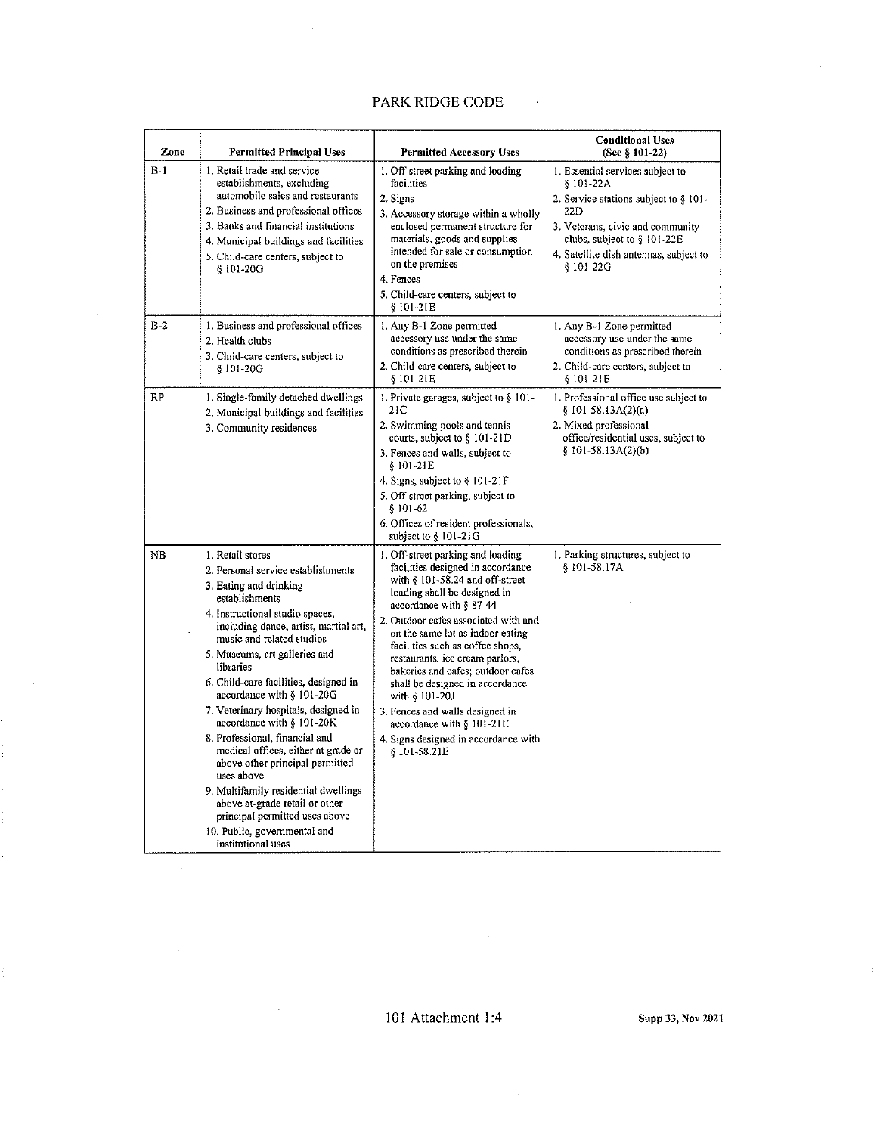### PARK RIDGE CODE

 $\mathcal{L}$ 

| <b>Zone</b> | <b>Permitted Principal Uses</b>                                                                                                                                                                                                                                                                                                                                                                                                                                                                                                                                                                                                                                                                   | <b>Permitted Accessory Uses</b>                                                                                                                                                                                                                                                                                                                                                                                                                                                                                                            | <b>Conditional Uses</b><br>(See § 101-22)                                                                                                                                                                                  |
|-------------|---------------------------------------------------------------------------------------------------------------------------------------------------------------------------------------------------------------------------------------------------------------------------------------------------------------------------------------------------------------------------------------------------------------------------------------------------------------------------------------------------------------------------------------------------------------------------------------------------------------------------------------------------------------------------------------------------|--------------------------------------------------------------------------------------------------------------------------------------------------------------------------------------------------------------------------------------------------------------------------------------------------------------------------------------------------------------------------------------------------------------------------------------------------------------------------------------------------------------------------------------------|----------------------------------------------------------------------------------------------------------------------------------------------------------------------------------------------------------------------------|
| $B-1$       | 1. Retail trade and service<br>establishments, excluding<br>automobile sales and restaurants<br>2. Business and professional offices<br>3. Banks and financial institutions<br>4. Municipal buildings and facilities<br>5. Child-care centers, subject to<br>§ 101-20G                                                                                                                                                                                                                                                                                                                                                                                                                            | 1. Off-street parking and loading<br>facilities<br>2. Signs<br>3. Accessory storage within a wholly<br>enclosed permanent structure for<br>materials, goods and supplies<br>intended for sale or consumption<br>on the premises<br>4. Fences<br>5. Child-care centers, subject to<br>§ 101-21E                                                                                                                                                                                                                                             | 1. Essential services subject to<br>$$101-22A$<br>2. Service stations subject to § 101-<br>22D<br>3. Veterans, civic and community<br>clubs, subject to $§$ 101-22E<br>4. Satellite dish antennas, subject to<br>§ 101-22G |
| $B-2$       | 1. Business and professional offices<br>2. Health clubs<br>3. Child-care centers, subject to<br>$$101-20G$                                                                                                                                                                                                                                                                                                                                                                                                                                                                                                                                                                                        | I. Any B-1 Zone permitted<br>accessory use under the same<br>conditions as prescribed therein<br>2. Child-care centers, subject to<br>§ 101-21E                                                                                                                                                                                                                                                                                                                                                                                            | 1. Any B-1 Zone permitted<br>accessory use under the same<br>conditions as prescribed therein<br>2. Child-care centers, subject to<br>§ 101-21E                                                                            |
| RP          | J. Single-family detached dwellings<br>2. Municipal buildings and facilities<br>3. Community residences                                                                                                                                                                                                                                                                                                                                                                                                                                                                                                                                                                                           | 1. Private garages, subject to $§$ 101-<br>21 C<br>2. Swimming pools and tennis<br>courts, subject to $\S$ 101-21D<br>3. Fences and walls, subject to<br>§ 101-21E<br>4. Signs, subject to § 101-21F<br>5. Off-street parking, subject to<br>$§ 101 - 62$<br>6. Offices of resident professionals,<br>subject to § 101-21G                                                                                                                                                                                                                 | 1. Professional office use subject to<br>$$101-58.13A(2)(a)$<br>2. Mixed professional<br>office/residential uses, subject to<br>$§ 101-58.13A(2)(b)$                                                                       |
| NB          | 1. Retail stores<br>2. Personal service establishments<br>3. Eating and drinking<br>establishments<br>4. Instructional studio spaces,<br>including dance, artist, martial art,<br>music and related studios<br>5. Museums, art galleries and<br>libraries<br>6. Child-care facilities, designed in<br>accordance with § 101-20G<br>7. Veterinary hospitals, designed in<br>accordance with § 101-20K.<br>8. Professional, financial and<br>medical offices, either at grade or<br>above other principal permitted<br>uses above<br>9. Multifamily residential dwellings<br>above at-grade retail or other<br>principal permitted uses above<br>10. Public, governmental and<br>institutional uses | 1. Off-street parking and loading<br>facilities designed in accordance<br>with $§$ 101-58.24 and off-street<br>loading shall be designed in<br>accordance with § 87-44<br>2. Outdoor cafes associated with and<br>on the same lot as indoor eating<br>facilities such as coffee shops,<br>restaurants, ice cream pariors,<br>bakeries and cafes; outdoor cafes<br>shall be designed in accordance<br>with § 101-20J<br>3. Fences and walls designed in<br>accordance with § 101-21E<br>4. Signs designed in accordance with<br>§101-58.21E | 1. Parking structures, subject to<br>§ 101-58.17A                                                                                                                                                                          |

101 Attachment 1:4 Supp 33, Nov 2021

÷.